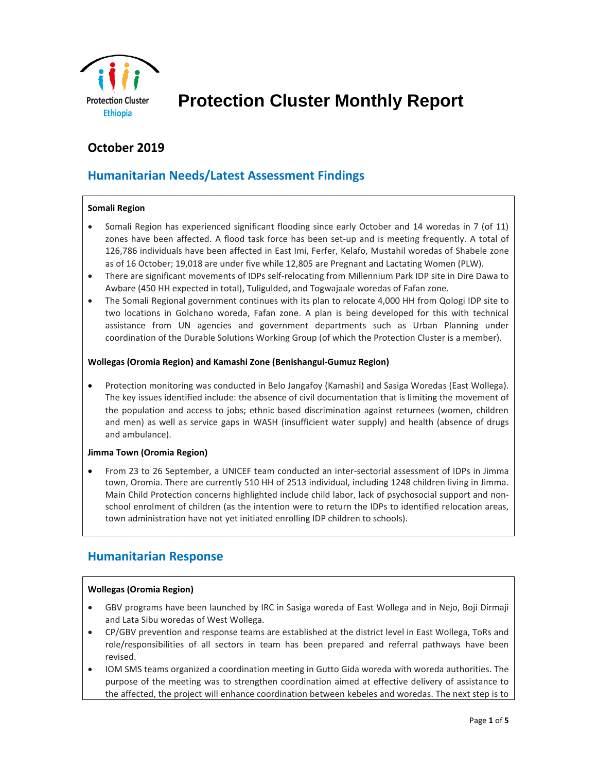

# **Protection Cluster Monthly Report**

# **October 2019**

# **Humanitarian Needs/Latest Assessment Findings**

#### **Somali Region**

- Somali Region has experienced significant flooding since early October and 14 woredas in 7 (of 11) zones have been affected. A flood task force has been set-up and is meeting frequently. A total of 126,786 individuals have been affected in East Imi, Ferfer, Kelafo, Mustahil woredas of Shabele zone as of 16 October; 19,018 are under five while 12,805 are Pregnant and Lactating Women (PLW).
- There are significant movements of IDPs self-relocating from Millennium Park IDP site in Dire Dawa to Awbare (450 HH expected in total), Tuligulded, and Togwajaale woredas of Fafan zone.
- The Somali Regional government continues with its plan to relocate 4,000 HH from Qologi IDP site to two locations in Golchano woreda, Fafan zone. A plan is being developed for this with technical assistance from UN agencies and government departments such as Urban Planning under coordination of the Durable Solutions Working Group (of which the Protection Cluster is a member).

#### **Wollegas (Oromia Region) and Kamashi Zone (Benishangul-Gumuz Region)**

• Protection monitoring was conducted in Belo Jangafoy (Kamashi) and Sasiga Woredas (East Wollega). The key issues identified include: the absence of civil documentation that is limiting the movement of the population and access to jobs; ethnic based discrimination against returnees (women, children and men) as well as service gaps in WASH (insufficient water supply) and health (absence of drugs and ambulance).

#### **Jimma Town (Oromia Region)**

• From 23 to 26 September, a UNICEF team conducted an inter-sectorial assessment of IDPs in Jimma town, Oromia. There are currently 510 HH of 2513 individual, including 1248 children living in Jimma. Main Child Protection concerns highlighted include child labor, lack of psychosocial support and nonschool enrolment of children (as the intention were to return the IDPs to identified relocation areas, town administration have not yet initiated enrolling IDP children to schools).

### **Humanitarian Response**

#### **Wollegas (Oromia Region)**

- GBV programs have been launched by IRC in Sasiga woreda of East Wollega and in Nejo, Boji Dirmaji and Lata Sibu woredas of West Wollega.
- CP/GBV prevention and response teams are established at the district level in East Wollega, ToRs and role/responsibilities of all sectors in team has been prepared and referral pathways have been revised.
- IOM SMS teams organized a coordination meeting in Gutto Gida woreda with woreda authorities. The purpose of the meeting was to strengthen coordination aimed at effective delivery of assistance to the affected, the project will enhance coordination between kebeles and woredas. The next step is to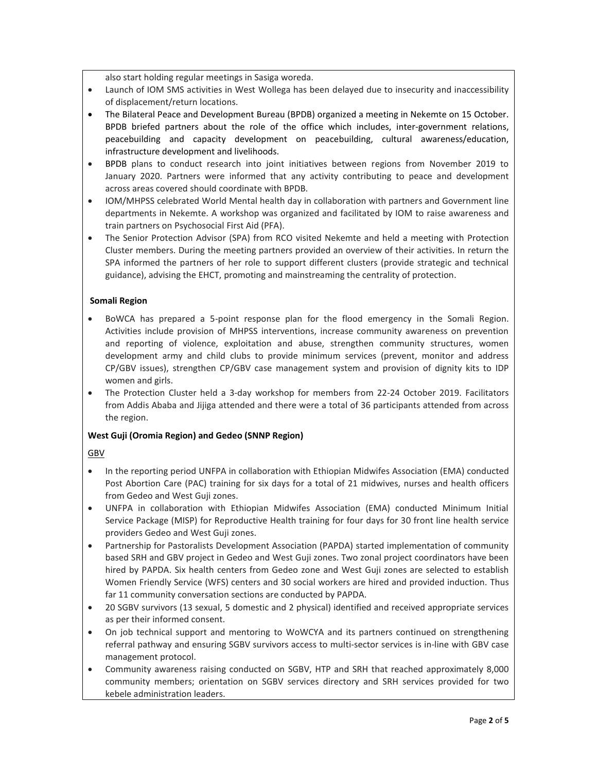also start holding regular meetings in Sasiga woreda.

- Launch of IOM SMS activities in West Wollega has been delayed due to insecurity and inaccessibility of displacement/return locations.
- The Bilateral Peace and Development Bureau (BPDB) organized a meeting in Nekemte on 15 October. BPDB briefed partners about the role of the office which includes, inter-government relations, peacebuilding and capacity development on peacebuilding, cultural awareness/education, infrastructure development and livelihoods.
- BPDB plans to conduct research into joint initiatives between regions from November 2019 to January 2020. Partners were informed that any activity contributing to peace and development across areas covered should coordinate with BPDB.
- IOM/MHPSS celebrated World Mental health day in collaboration with partners and Government line departments in Nekemte. A workshop was organized and facilitated by IOM to raise awareness and train partners on Psychosocial First Aid (PFA).
- The Senior Protection Advisor (SPA) from RCO visited Nekemte and held a meeting with Protection Cluster members. During the meeting partners provided an overview of their activities. In return the SPA informed the partners of her role to support different clusters (provide strategic and technical guidance), advising the EHCT, promoting and mainstreaming the centrality of protection.

#### **Somali Region**

- BoWCA has prepared a 5-point response plan for the flood emergency in the Somali Region. Activities include provision of MHPSS interventions, increase community awareness on prevention and reporting of violence, exploitation and abuse, strengthen community structures, women development army and child clubs to provide minimum services (prevent, monitor and address CP/GBV issues), strengthen CP/GBV case management system and provision of dignity kits to IDP women and girls.
- The Protection Cluster held a 3-day workshop for members from 22-24 October 2019. Facilitators from Addis Ababa and Jijiga attended and there were a total of 36 participants attended from across the region.

#### **West Guji (Oromia Region) and Gedeo (SNNP Region)**

#### GBV

- In the reporting period UNFPA in collaboration with Ethiopian Midwifes Association (EMA) conducted Post Abortion Care (PAC) training for six days for a total of 21 midwives, nurses and health officers from Gedeo and West Guji zones.
- UNFPA in collaboration with Ethiopian Midwifes Association (EMA) conducted Minimum Initial Service Package (MISP) for Reproductive Health training for four days for 30 front line health service providers Gedeo and West Guji zones.
- Partnership for Pastoralists Development Association (PAPDA) started implementation of community based SRH and GBV project in Gedeo and West Guji zones. Two zonal project coordinators have been hired by PAPDA. Six health centers from Gedeo zone and West Guji zones are selected to establish Women Friendly Service (WFS) centers and 30 social workers are hired and provided induction. Thus far 11 community conversation sections are conducted by PAPDA.
- 20 SGBV survivors (13 sexual, 5 domestic and 2 physical) identified and received appropriate services as per their informed consent.
- On job technical support and mentoring to WoWCYA and its partners continued on strengthening referral pathway and ensuring SGBV survivors access to multi-sector services is in-line with GBV case management protocol.
- Community awareness raising conducted on SGBV, HTP and SRH that reached approximately 8,000 community members; orientation on SGBV services directory and SRH services provided for two kebele administration leaders.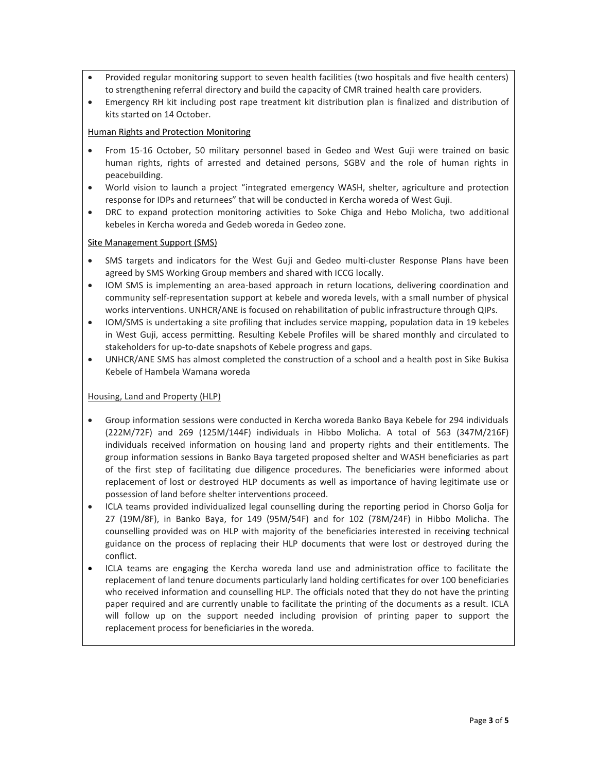- Provided regular monitoring support to seven health facilities (two hospitals and five health centers) to strengthening referral directory and build the capacity of CMR trained health care providers.
- Emergency RH kit including post rape treatment kit distribution plan is finalized and distribution of kits started on 14 October.

#### Human Rights and Protection Monitoring

- From 15-16 October, 50 military personnel based in Gedeo and West Guji were trained on basic human rights, rights of arrested and detained persons, SGBV and the role of human rights in peacebuilding.
- World vision to launch a project "integrated emergency WASH, shelter, agriculture and protection response for IDPs and returnees" that will be conducted in Kercha woreda of West Guji.
- DRC to expand protection monitoring activities to Soke Chiga and Hebo Molicha, two additional kebeles in Kercha woreda and Gedeb woreda in Gedeo zone.

#### Site Management Support (SMS)

- SMS targets and indicators for the West Guji and Gedeo multi-cluster Response Plans have been agreed by SMS Working Group members and shared with ICCG locally.
- IOM SMS is implementing an area-based approach in return locations, delivering coordination and community self-representation support at kebele and woreda levels, with a small number of physical works interventions. UNHCR/ANE is focused on rehabilitation of public infrastructure through QIPs.
- IOM/SMS is undertaking a site profiling that includes service mapping, population data in 19 kebeles in West Guji, access permitting. Resulting Kebele Profiles will be shared monthly and circulated to stakeholders for up-to-date snapshots of Kebele progress and gaps.
- UNHCR/ANE SMS has almost completed the construction of a school and a health post in Sike Bukisa Kebele of Hambela Wamana woreda

#### Housing, Land and Property (HLP)

- Group information sessions were conducted in Kercha woreda Banko Baya Kebele for 294 individuals (222M/72F) and 269 (125M/144F) individuals in Hibbo Molicha. A total of 563 (347M/216F) individuals received information on housing land and property rights and their entitlements. The group information sessions in Banko Baya targeted proposed shelter and WASH beneficiaries as part of the first step of facilitating due diligence procedures. The beneficiaries were informed about replacement of lost or destroyed HLP documents as well as importance of having legitimate use or possession of land before shelter interventions proceed.
- ICLA teams provided individualized legal counselling during the reporting period in Chorso Golja for 27 (19M/8F), in Banko Baya, for 149 (95M/54F) and for 102 (78M/24F) in Hibbo Molicha. The counselling provided was on HLP with majority of the beneficiaries interested in receiving technical guidance on the process of replacing their HLP documents that were lost or destroyed during the conflict.
- ICLA teams are engaging the Kercha woreda land use and administration office to facilitate the replacement of land tenure documents particularly land holding certificates for over 100 beneficiaries who received information and counselling HLP. The officials noted that they do not have the printing paper required and are currently unable to facilitate the printing of the documents as a result. ICLA will follow up on the support needed including provision of printing paper to support the replacement process for beneficiaries in the woreda.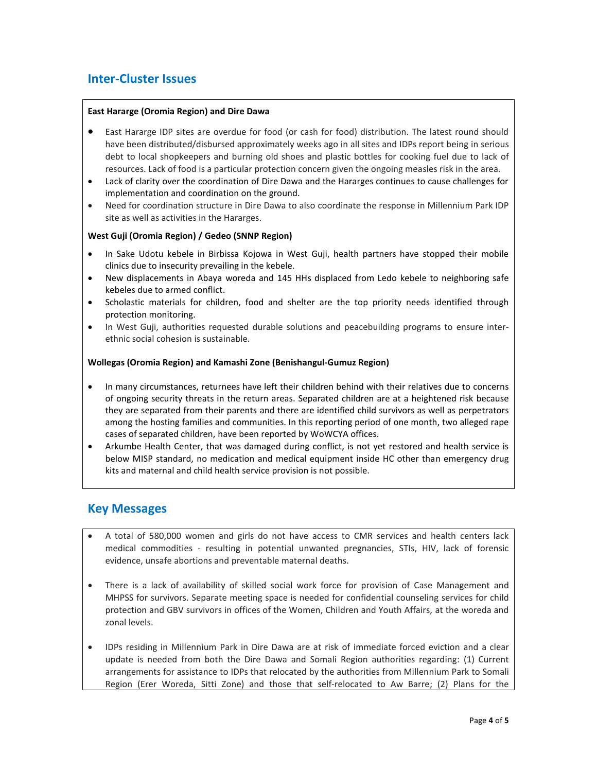# **Inter-Cluster Issues**

#### **East Hararge (Oromia Region) and Dire Dawa**

- East Hararge IDP sites are overdue for food (or cash for food) distribution. The latest round should have been distributed/disbursed approximately weeks ago in all sites and IDPs report being in serious debt to local shopkeepers and burning old shoes and plastic bottles for cooking fuel due to lack of resources. Lack of food is a particular protection concern given the ongoing measles risk in the area.
- Lack of clarity over the coordination of Dire Dawa and the Hararges continues to cause challenges for implementation and coordination on the ground.
- Need for coordination structure in Dire Dawa to also coordinate the response in Millennium Park IDP site as well as activities in the Hararges.

#### **West Guji (Oromia Region) / Gedeo (SNNP Region)**

- In Sake Udotu kebele in Birbissa Kojowa in West Guji, health partners have stopped their mobile clinics due to insecurity prevailing in the kebele.
- New displacements in Abaya woreda and 145 HHs displaced from Ledo kebele to neighboring safe kebeles due to armed conflict.
- Scholastic materials for children, food and shelter are the top priority needs identified through protection monitoring.
- In West Guji, authorities requested durable solutions and peacebuilding programs to ensure interethnic social cohesion is sustainable.

#### **Wollegas (Oromia Region) and Kamashi Zone (Benishangul-Gumuz Region)**

- In many circumstances, returnees have left their children behind with their relatives due to concerns of ongoing security threats in the return areas. Separated children are at a heightened risk because they are separated from their parents and there are identified child survivors as well as perpetrators among the hosting families and communities. In this reporting period of one month, two alleged rape cases of separated children, have been reported by WoWCYA offices.
- Arkumbe Health Center, that was damaged during conflict, is not yet restored and health service is below MISP standard, no medication and medical equipment inside HC other than emergency drug kits and maternal and child health service provision is not possible.

### **Key Messages**

- A total of 580,000 women and girls do not have access to CMR services and health centers lack medical commodities - resulting in potential unwanted pregnancies, STIs, HIV, lack of forensic evidence, unsafe abortions and preventable maternal deaths.
- There is a lack of availability of skilled social work force for provision of Case Management and MHPSS for survivors. Separate meeting space is needed for confidential counseling services for child protection and GBV survivors in offices of the Women, Children and Youth Affairs, at the woreda and zonal levels.
- IDPs residing in Millennium Park in Dire Dawa are at risk of immediate forced eviction and a clear update is needed from both the Dire Dawa and Somali Region authorities regarding: (1) Current arrangements for assistance to IDPs that relocated by the authorities from Millennium Park to Somali Region (Erer Woreda, Sitti Zone) and those that self-relocated to Aw Barre; (2) Plans for the